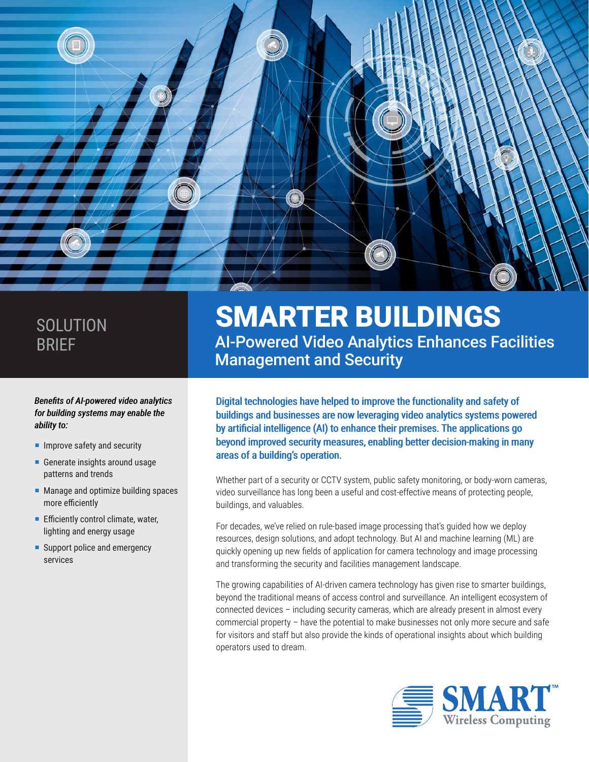

# **SOLUTION** BRIEF

#### *Benefits of AI-powered video analytics for building systems may enable the ability to:*

- $\blacksquare$  Improve safety and security
- Generate insights around usage patterns and trends
- **Manage and optimize building spaces** more efficiently
- **Efficiently control climate, water,** lighting and energy usage
- Support police and emergency services

# SMARTER BUILDINGS AI-Powered Video Analytics Enhances Facilities Management and Security

Digital technologies have helped to improve the functionality and safety of buildings and businesses are now leveraging video analytics systems powered by artificial intelligence (AI) to enhance their premises. The applications go beyond improved security measures, enabling better decision-making in many areas of a building's operation.

Whether part of a security or CCTV system, public safety monitoring, or body-worn cameras, video surveillance has long been a useful and cost-effective means of protecting people, buildings, and valuables.

For decades, we've relied on rule-based image processing that's guided how we deploy resources, design solutions, and adopt technology. But AI and machine learning (ML) are quickly opening up new fields of application for camera technology and image processing and transforming the security and facilities management landscape.

The growing capabilities of AI-driven camera technology has given rise to smarter buildings, beyond the traditional means of access control and surveillance. An intelligent ecosystem of connected devices – including security cameras, which are already present in almost every commercial property – have the potential to make businesses not only more secure and safe for visitors and staff but also provide the kinds of operational insights about which building operators used to dream.

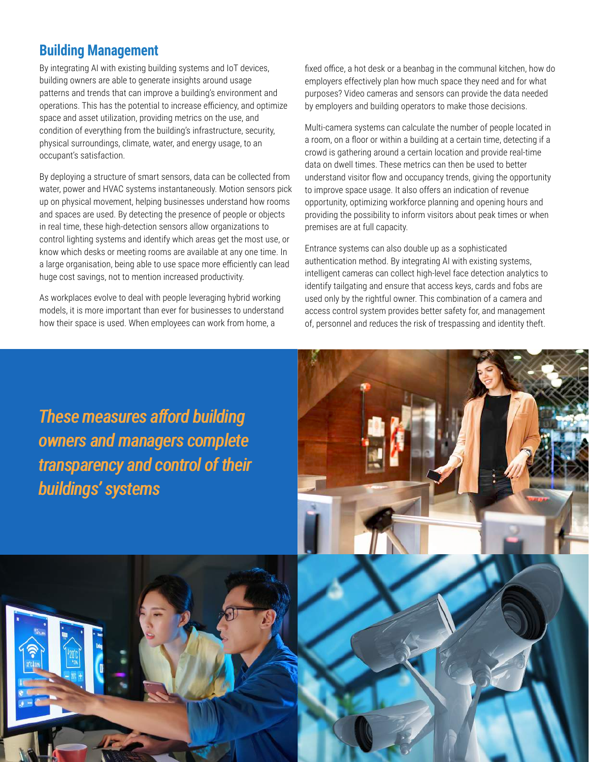## **Building Management**

By integrating AI with existing building systems and IoT devices, building owners are able to generate insights around usage patterns and trends that can improve a building's environment and operations. This has the potential to increase efficiency, and optimize space and asset utilization, providing metrics on the use, and condition of everything from the building's infrastructure, security, physical surroundings, climate, water, and energy usage, to an occupant's satisfaction.

By deploying a structure of smart sensors, data can be collected from water, power and HVAC systems instantaneously. Motion sensors pick up on physical movement, helping businesses understand how rooms and spaces are used. By detecting the presence of people or objects in real time, these high-detection sensors allow organizations to control lighting systems and identify which areas get the most use, or know which desks or meeting rooms are available at any one time. In a large organisation, being able to use space more efficiently can lead huge cost savings, not to mention increased productivity.

As workplaces evolve to deal with people leveraging hybrid working models, it is more important than ever for businesses to understand how their space is used. When employees can work from home, a

fixed office, a hot desk or a beanbag in the communal kitchen, how do employers effectively plan how much space they need and for what purposes? Video cameras and sensors can provide the data needed by employers and building operators to make those decisions.

Multi-camera systems can calculate the number of people located in a room, on a floor or within a building at a certain time, detecting if a crowd is gathering around a certain location and provide real-time data on dwell times. These metrics can then be used to better understand visitor flow and occupancy trends, giving the opportunity to improve space usage. It also offers an indication of revenue opportunity, optimizing workforce planning and opening hours and providing the possibility to inform visitors about peak times or when premises are at full capacity.

Entrance systems can also double up as a sophisticated authentication method. By integrating AI with existing systems, intelligent cameras can collect high-level face detection analytics to identify tailgating and ensure that access keys, cards and fobs are used only by the rightful owner. This combination of a camera and access control system provides better safety for, and management of, personnel and reduces the risk of trespassing and identity theft.

*These measures afford building owners and managers complete transparency and control of their buildings' systems*